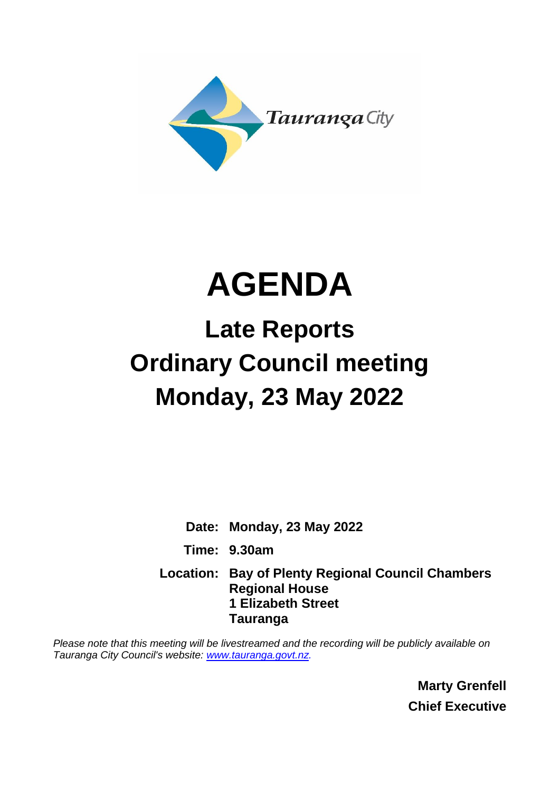

# **AGENDA**

## **Late Reports Ordinary Council meeting Monday, 23 May 2022**

**Date: Monday, 23 May 2022 Time: 9.30am Location: Bay of Plenty Regional Council Chambers Regional House 1 Elizabeth Street Tauranga**

*Please note that this meeting will be livestreamed and the recording will be publicly available on Tauranga City Council's website: [www.tauranga.govt.nz.](http://www.tauranga.govt.nz/)*

> **Marty Grenfell Chief Executive**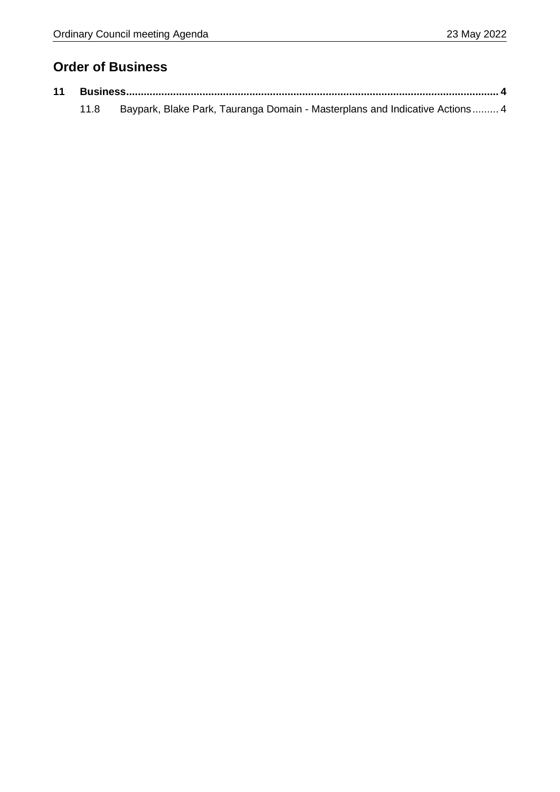### **Order of Business**

|  | 11.8 Baypark, Blake Park, Tauranga Domain - Masterplans and Indicative Actions 4 |  |
|--|----------------------------------------------------------------------------------|--|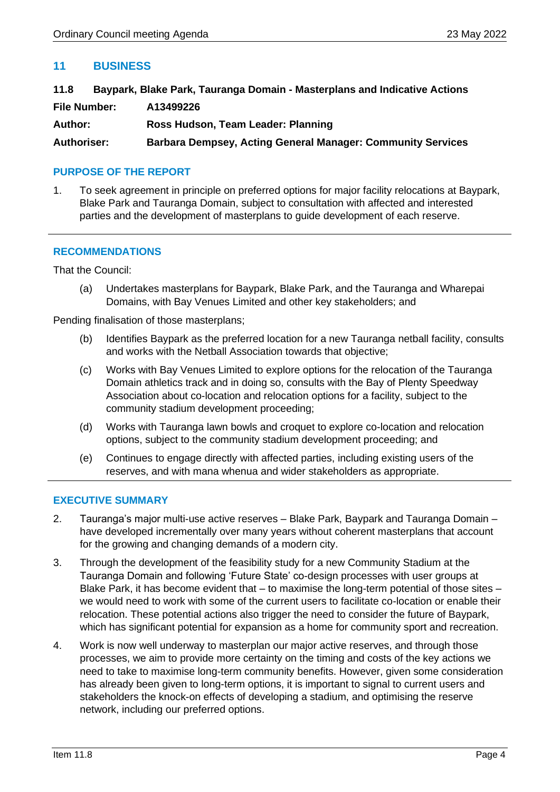#### <span id="page-3-0"></span>**11 BUSINESS**

<span id="page-3-1"></span>

| 11.8                | Baypark, Blake Park, Tauranga Domain - Masterplans and Indicative Actions |
|---------------------|---------------------------------------------------------------------------|
| <b>File Number:</b> | A13499226                                                                 |
| <b>Author:</b>      | Ross Hudson, Team Leader: Planning                                        |
| <b>Authoriser:</b>  | <b>Barbara Dempsey, Acting General Manager: Community Services</b>        |

#### **PURPOSE OF THE REPORT**

1. To seek agreement in principle on preferred options for major facility relocations at Baypark, Blake Park and Tauranga Domain, subject to consultation with affected and interested parties and the development of masterplans to guide development of each reserve.

#### **RECOMMENDATIONS**

That the Council:

(a) Undertakes masterplans for Baypark, Blake Park, and the Tauranga and Wharepai Domains, with Bay Venues Limited and other key stakeholders; and

Pending finalisation of those masterplans;

- (b) Identifies Baypark as the preferred location for a new Tauranga netball facility, consults and works with the Netball Association towards that objective;
- (c) Works with Bay Venues Limited to explore options for the relocation of the Tauranga Domain athletics track and in doing so, consults with the Bay of Plenty Speedway Association about co-location and relocation options for a facility, subject to the community stadium development proceeding;
- (d) Works with Tauranga lawn bowls and croquet to explore co-location and relocation options, subject to the community stadium development proceeding; and
- (e) Continues to engage directly with affected parties, including existing users of the reserves, and with mana whenua and wider stakeholders as appropriate.

#### **EXECUTIVE SUMMARY**

- 2. Tauranga's major multi-use active reserves Blake Park, Baypark and Tauranga Domain have developed incrementally over many years without coherent masterplans that account for the growing and changing demands of a modern city.
- 3. Through the development of the feasibility study for a new Community Stadium at the Tauranga Domain and following 'Future State' co-design processes with user groups at Blake Park, it has become evident that  $-$  to maximise the long-term potential of those sites  $$ we would need to work with some of the current users to facilitate co-location or enable their relocation. These potential actions also trigger the need to consider the future of Baypark, which has significant potential for expansion as a home for community sport and recreation.
- 4. Work is now well underway to masterplan our major active reserves, and through those processes, we aim to provide more certainty on the timing and costs of the key actions we need to take to maximise long-term community benefits. However, given some consideration has already been given to long-term options, it is important to signal to current users and stakeholders the knock-on effects of developing a stadium, and optimising the reserve network, including our preferred options.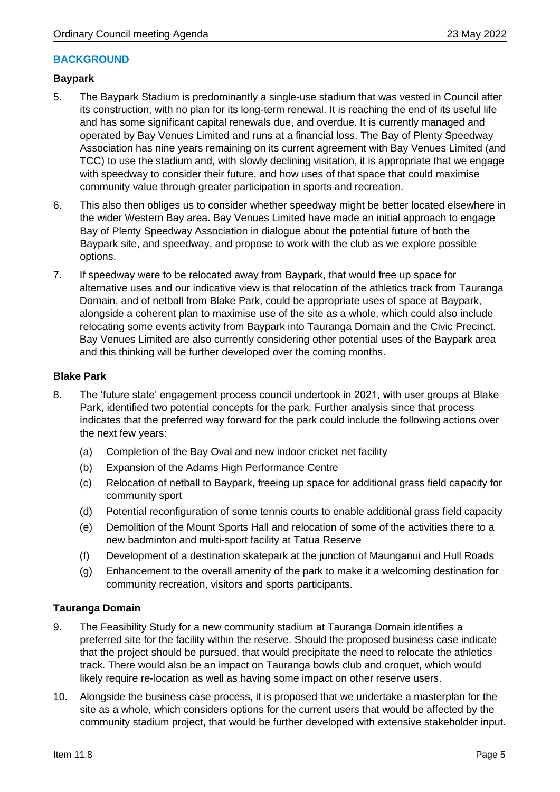#### **BACKGROUND**

#### **Baypark**

- 5. The Baypark Stadium is predominantly a single-use stadium that was vested in Council after its construction, with no plan for its long-term renewal. It is reaching the end of its useful life and has some significant capital renewals due, and overdue. It is currently managed and operated by Bay Venues Limited and runs at a financial loss. The Bay of Plenty Speedway Association has nine years remaining on its current agreement with Bay Venues Limited (and TCC) to use the stadium and, with slowly declining visitation, it is appropriate that we engage with speedway to consider their future, and how uses of that space that could maximise community value through greater participation in sports and recreation.
- 6. This also then obliges us to consider whether speedway might be better located elsewhere in the wider Western Bay area. Bay Venues Limited have made an initial approach to engage Bay of Plenty Speedway Association in dialogue about the potential future of both the Baypark site, and speedway, and propose to work with the club as we explore possible options.
- 7. If speedway were to be relocated away from Baypark, that would free up space for alternative uses and our indicative view is that relocation of the athletics track from Tauranga Domain, and of netball from Blake Park, could be appropriate uses of space at Baypark, alongside a coherent plan to maximise use of the site as a whole, which could also include relocating some events activity from Baypark into Tauranga Domain and the Civic Precinct. Bay Venues Limited are also currently considering other potential uses of the Baypark area and this thinking will be further developed over the coming months.

#### **Blake Park**

- 8. The 'future state' engagement process council undertook in 2021, with user groups at Blake Park, identified two potential concepts for the park. Further analysis since that process indicates that the preferred way forward for the park could include the following actions over the next few years:
	- (a) Completion of the Bay Oval and new indoor cricket net facility
	- (b) Expansion of the Adams High Performance Centre
	- (c) Relocation of netball to Baypark, freeing up space for additional grass field capacity for community sport
	- (d) Potential reconfiguration of some tennis courts to enable additional grass field capacity
	- (e) Demolition of the Mount Sports Hall and relocation of some of the activities there to a new badminton and multi-sport facility at Tatua Reserve
	- (f) Development of a destination skatepark at the junction of Maunganui and Hull Roads
	- (g) Enhancement to the overall amenity of the park to make it a welcoming destination for community recreation, visitors and sports participants.

#### **Tauranga Domain**

- 9. The Feasibility Study for a new community stadium at Tauranga Domain identifies a preferred site for the facility within the reserve. Should the proposed business case indicate that the project should be pursued, that would precipitate the need to relocate the athletics track. There would also be an impact on Tauranga bowls club and croquet, which would likely require re-location as well as having some impact on other reserve users.
- 10. Alongside the business case process, it is proposed that we undertake a masterplan for the site as a whole, which considers options for the current users that would be affected by the community stadium project, that would be further developed with extensive stakeholder input.